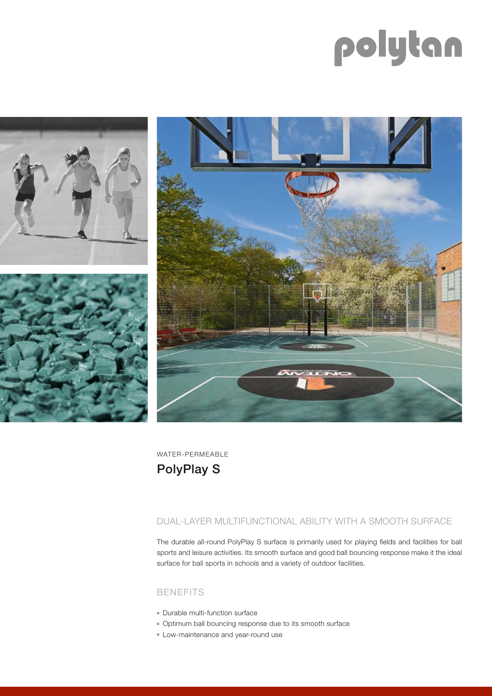# polytan



WATER-PERMEABLE

## PolyPlay S

#### DUAL-LAYER MULTIFUNCTIONAL ABILITY WITH A SMOOTH SURFACE

The durable all-round PolyPlay S surface is primarily used for playing fields and facilities for ball sports and leisure activities. Its smooth surface and good ball bouncing response make it the ideal surface for ball sports in schools and a variety of outdoor facilities.

#### BENEFITS

- Durable multi-function surface
- Optimum ball bouncing response due to its smooth surface
- Low-maintenance and year-round use